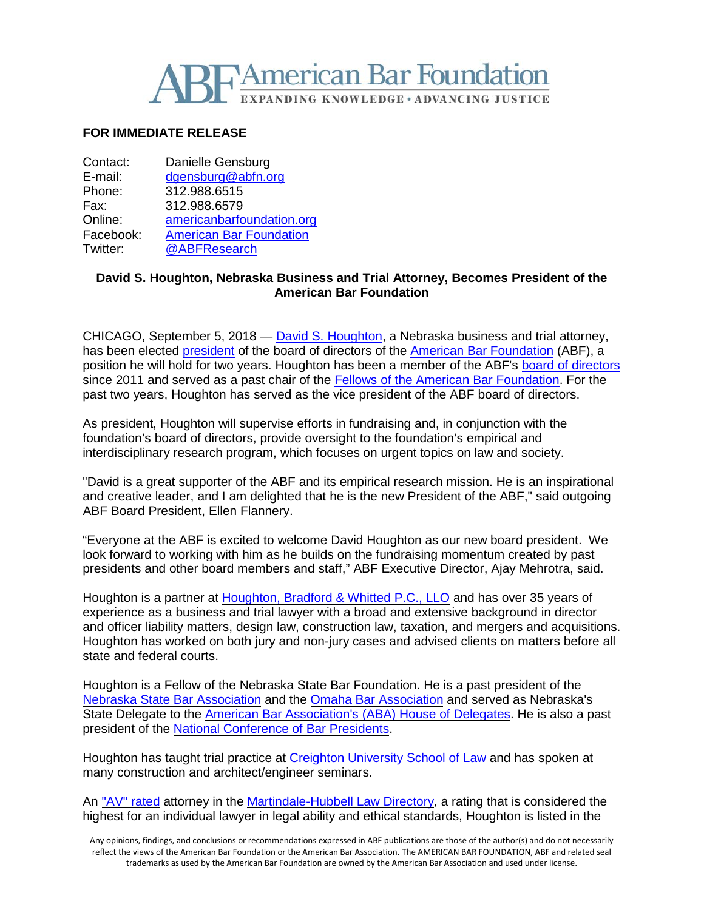

## **FOR IMMEDIATE RELEASE**

| Contact:  | Danielle Gensburg              |
|-----------|--------------------------------|
| E-mail:   | dgensburg@abfn.org             |
| Phone:    | 312.988.6515                   |
| Fax:      | 312.988.6579                   |
| Online:   | americanbarfoundation.org      |
| Facebook: | <b>American Bar Foundation</b> |
| Twitter:  | @ABFResearch                   |

## **David S. Houghton, Nebraska Business and Trial Attorney, Becomes President of the American Bar Foundation**

CHICAGO, September 5, 2018 — David S. [Houghton,](http://www.houghtonbradford.com/attorneys/dshoughton.aspx) a Nebraska business and trial attorney, has been elected [president](http://www.americanbarfoundation.org/about/Officersdirectors.html?CmsMode=Draft) of the board of directors of the American Bar [Foundation](http://www.americanbarfoundation.org/index.html) (ABF), a position he will hold for two years. Houghton has been a member of the ABF's board of [directors](http://www.americanbarfoundation.org/about/Officersdirectors/Board_of_Directors0.html?CmsMode=Draft) since 2011 and served as a past chair of the Fellows of the American Bar [Foundation.](http://www.americanbarfoundation.org/fellows/index.html) For the past two years, Houghton has served as the vice president of the ABF board of directors.

As president, Houghton will supervise efforts in fundraising and, in conjunction with the foundation's board of directors, provide oversight to the foundation's empirical and interdisciplinary research program, which focuses on urgent topics on law and society.

"David is a great supporter of the ABF and its empirical research mission. He is an inspirational and creative leader, and I am delighted that he is the new President of the ABF," said outgoing ABF Board President, Ellen Flannery.

"Everyone at the ABF is excited to welcome David Houghton as our new board president. We look forward to working with him as he builds on the fundraising momentum created by past presidents and other board members and staff," ABF Executive Director, Ajay Mehrotra, said.

Houghton is a partner at [Houghton,](http://www.houghtonbradford.com/) Bradford & Whitted P.C., LLO and has over 35 years of experience as a business and trial lawyer with a broad and extensive background in director and officer liability matters, design law, construction law, taxation, and mergers and acquisitions. Houghton has worked on both jury and non-jury cases and advised clients on matters before all state and federal courts.

Houghton is a Fellow of the Nebraska State Bar Foundation. He is a past president of the Nebraska State Bar [Association](https://www.nebar.com/) and the Omaha Bar [Association](https://www.omahabarassociation.com/default.aspx) and served as Nebraska's State Delegate to the American Bar [Association's](https://www.americanbar.org/groups/leadership/house_of_delegates.html) (ABA) House of Delegates. He is also a past president of the National [Conference](https://ncbp.site-ym.com/default.aspx) of Bar Presidents.

Houghton has taught trial practice at Creighton [University](https://law.creighton.edu/) School of Law and has spoken at many construction and architect/engineer seminars.

An "AV" [rated](https://www.martindale.com/omaha/nebraska/david-s-houghton-168915960-a/) attorney in the [Martindale-Hubbell](https://www.martindale.com/) Law Directory, a rating that is considered the highest for an individual lawyer in legal ability and ethical standards, Houghton is listed in the

Any opinions, findings, and conclusions or recommendations expressed in ABF publications are those of the author(s) and do not necessarily reflect the views of the American Bar Foundation or the American Bar Association. The AMERICAN BAR FOUNDATION, ABF and related seal trademarks as used by the American Bar Foundation are owned by the American Bar Association and used under license.